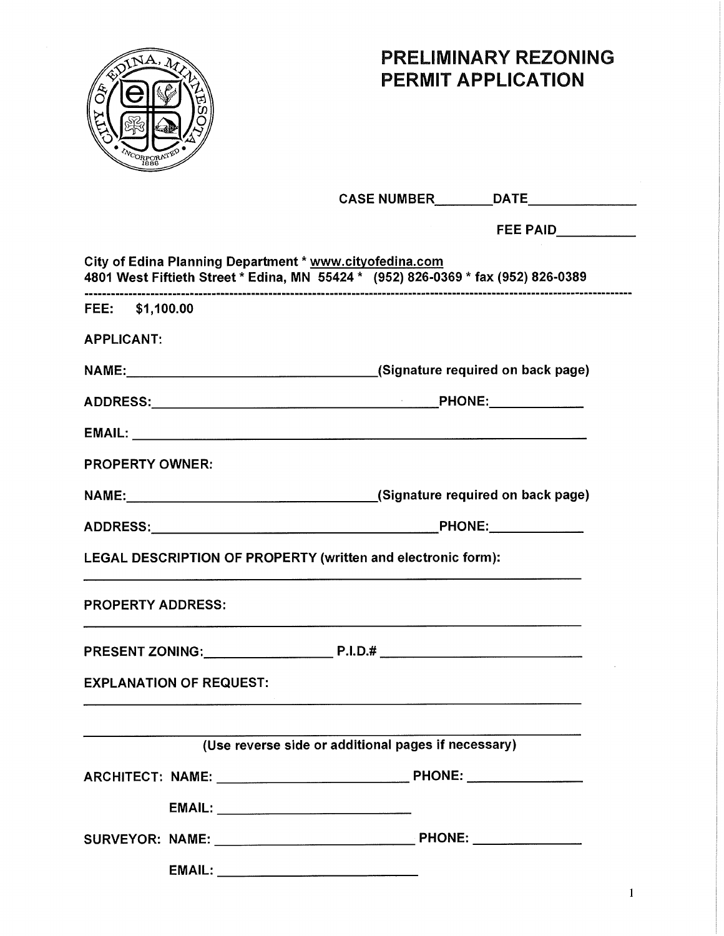

## **PRELIMINARY REZONING PERMIT APPLICATION**

|                                                                                                                                                   | CASE NUMBER DATE                                                                                                                                                                                                               |
|---------------------------------------------------------------------------------------------------------------------------------------------------|--------------------------------------------------------------------------------------------------------------------------------------------------------------------------------------------------------------------------------|
|                                                                                                                                                   |                                                                                                                                                                                                                                |
| City of Edina Planning Department * www.cityofedina.com                                                                                           | 4801 West Fiftieth Street * Edina, MN 55424 * (952) 826-0369 * fax (952) 826-0389                                                                                                                                              |
| FEE: \$1,100.00                                                                                                                                   |                                                                                                                                                                                                                                |
| <b>APPLICANT:</b>                                                                                                                                 |                                                                                                                                                                                                                                |
|                                                                                                                                                   | NAME: NAME: NAME: NAME: NAME: NAME: NAME: NAME: NAME: NAME: NAME: NAME: NAME OF SOCIAL PARTICLE ASSAULT AT A CONTRACT AT A CONTRACT AT A CONTRACT AT A CONTRACT AT A CONTRACT AT A CONTRACT AT A CONTRACT AT A CONTRACT AT A C |
|                                                                                                                                                   |                                                                                                                                                                                                                                |
|                                                                                                                                                   |                                                                                                                                                                                                                                |
| <b>PROPERTY OWNER:</b>                                                                                                                            |                                                                                                                                                                                                                                |
|                                                                                                                                                   |                                                                                                                                                                                                                                |
|                                                                                                                                                   |                                                                                                                                                                                                                                |
| <b>LEGAL DESCRIPTION OF PROPERTY (written and electronic form):</b>                                                                               |                                                                                                                                                                                                                                |
| <b>PROPERTY ADDRESS:</b><br><u> 1980 - Jan Barat, margaret amerikan di sebagai perang perang perang perang perang perang perang perang perang</u> |                                                                                                                                                                                                                                |
|                                                                                                                                                   |                                                                                                                                                                                                                                |
| <b>EXPLANATION OF REQUEST:</b>                                                                                                                    |                                                                                                                                                                                                                                |
|                                                                                                                                                   |                                                                                                                                                                                                                                |
|                                                                                                                                                   | (Use reverse side or additional pages if necessary)                                                                                                                                                                            |
|                                                                                                                                                   |                                                                                                                                                                                                                                |
|                                                                                                                                                   |                                                                                                                                                                                                                                |
|                                                                                                                                                   |                                                                                                                                                                                                                                |
|                                                                                                                                                   |                                                                                                                                                                                                                                |

1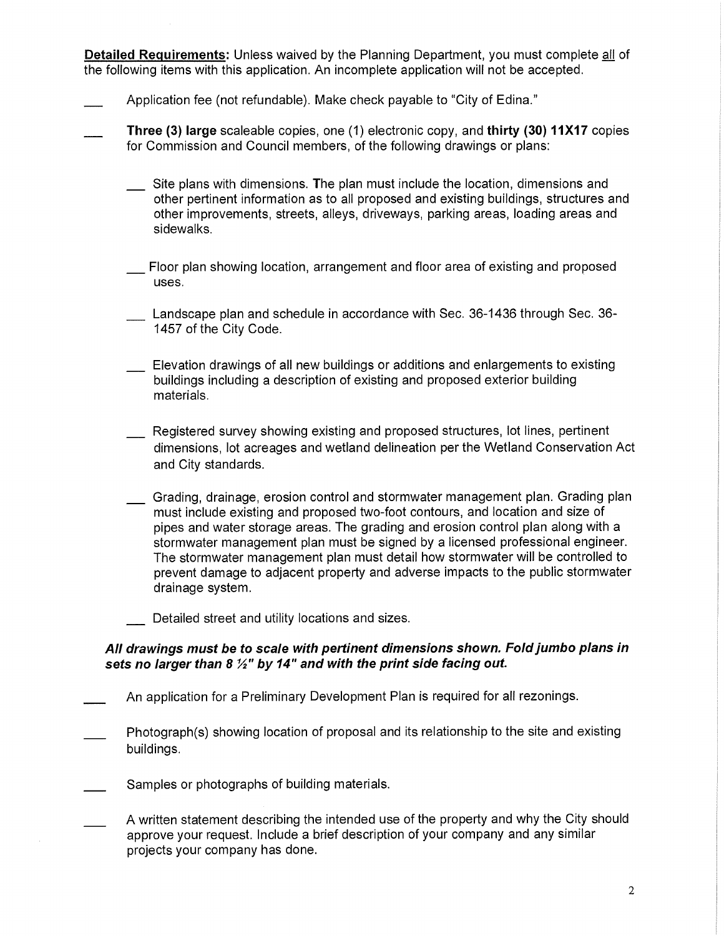**Detailed Requirements:** Unless waived by the Planning Department, you must complete all of the following items with this application. An incomplete application will not be accepted.

- Application fee (not refundable). Make check payable to "City of Edina."
- **Three (3) large** scaleable copies, one (1) electronic copy, and **thirty (30) 11X17** copies for Commission and Council members, of the following drawings or plans:
	- Site plans with dimensions. The plan must include the location, dimensions and other pertinent information as to all proposed and existing buildings, structures and other improvements, streets, alleys, driveways, parking areas, loading areas and sidewalks.
	- Floor plan showing location, arrangement and floor area of existing and proposed uses.
	- Landscape plan and schedule in accordance with Sec. 36-1436 through Sec. 36-1457 of the City Code.
	- Elevation drawings of all new buildings or additions and enlargements to existing buildings including a description of existing and proposed exterior building materials.
	- Registered survey showing existing and proposed structures, lot lines, pertinent dimensions, lot acreages and wetland delineation per the Wetland Conservation Act and City standards.
	- Grading, drainage, erosion control and stormwater management plan. Grading plan must include existing and proposed two-foot contours, and location and size of pipes and water storage areas. The grading and erosion control plan along with a stormwater management plan must be signed by a licensed professional engineer. The stormwater management plan must detail how stormwater will be controlled to prevent damage to adjacent property and adverse impacts to the public stormwater drainage system.
	- Detailed street and utility locations and sizes.

#### **All drawings must be to scale with pertinent dimensions shown. Fold jumbo plans in**  sets no larger than 8  $\frac{1}{2}$ " by 14" and with the print side facing out.

- \_ An application for a Preliminary Development Plan is required for all rezonings.
- Photograph(s) showing location of proposal and its relationship to the site and existing buildings.
- Samples or photographs of building materials.
- A written statement describing the intended use of the property and why the City should approve your request. Include a brief description of your company and any similar projects your company has done.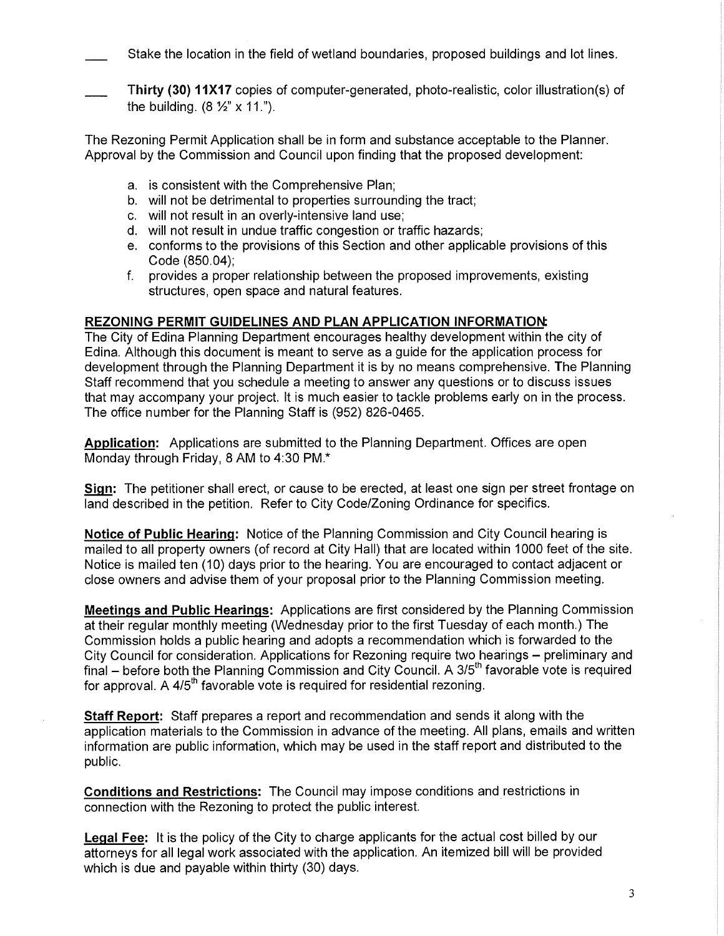Stake the location in the field of wetland boundaries, proposed buildings and lot lines.

**Thirty (30) 11X17** copies of computer-generated, photo-realistic, color illustration(s) of the building.  $(8 \frac{1}{2} \times 11)^n$ .

The Rezoning Permit Application shall be in form and substance acceptable to the Planner. Approval by the Commission and Council upon finding that the proposed development:

- a. is consistent with the Comprehensive Plan;
- b. will not be detrimental to properties surrounding the tract;
- c. will not result in an overly-intensive land use;
- d. will not result in undue traffic congestion or traffic hazards;
- e. conforms to the provisions of this Section and other applicable provisions of this Code (850.04);
- f. provides a proper relationship between the proposed improvements, existing structures, open space and natural features.

#### **REZONING PERMIT GUIDELINES AND PLAN APPLICATION INFORMATIOrt**

The City of Edina Planning Department encourages healthy development within the city of Edina. Although this document is meant to serve as a guide for the application process for development through the Planning Department it is by no means comprehensive. The Planning Staff recommend that you schedule a meeting to answer any questions or to discuss issues that may accompany your project. It is much easier to tackle problems early on in the process. The office number for the Planning Staff is (952) 826-0465.

**Application:** Applications are submitted to the Planning Department. Offices are open Monday through Friday, 8 AM to 4:30 PM.\*

**Sign:** The petitioner shall erect, or cause to be erected, at least one sign per street frontage on land described in the petition. Refer to City Code/Zoning Ordinance for specifics.

**Notice of Public Hearing:** Notice of the Planning Commission and City Council hearing is mailed to all property owners (of record at City Hall) that are located within 1000 feet of the site. Notice is mailed ten (10) days prior to the hearing. You are encouraged to contact adjacent or close owners and advise them of your proposal prior to the Planning Commission meeting.

**Meetings and Public Hearings:** Applications are first considered by the Planning Commission at their regular monthly meeting (Wednesday prior to the first Tuesday of each month.) The Commission holds a public hearing and adopts a recommendation which is forwarded to the City Council for consideration. Applications for Rezoning require two hearings — preliminary and final  $-$  before both the Planning Commission and City Council. A 3/5<sup>th</sup> favorable vote is required for approval. A  $4/5<sup>th</sup>$  favorable vote is required for residential rezoning.

**Staff Report:** Staff prepares a report and recommendation and sends it along with the application materials to the Commission in advance of the meeting. All plans, emails and written information are public information, which may be used in the staff report and distributed to the public.

**Conditions and Restrictions:** The Council may impose conditions and restrictions in connection with the Rezoning to protect the public interest.

**Legal Fee: It** is the policy of the City to charge applicants for the actual cost billed by our attorneys for all legal work associated with the application. An itemized bill will be provided which is due and payable within thirty (30) days.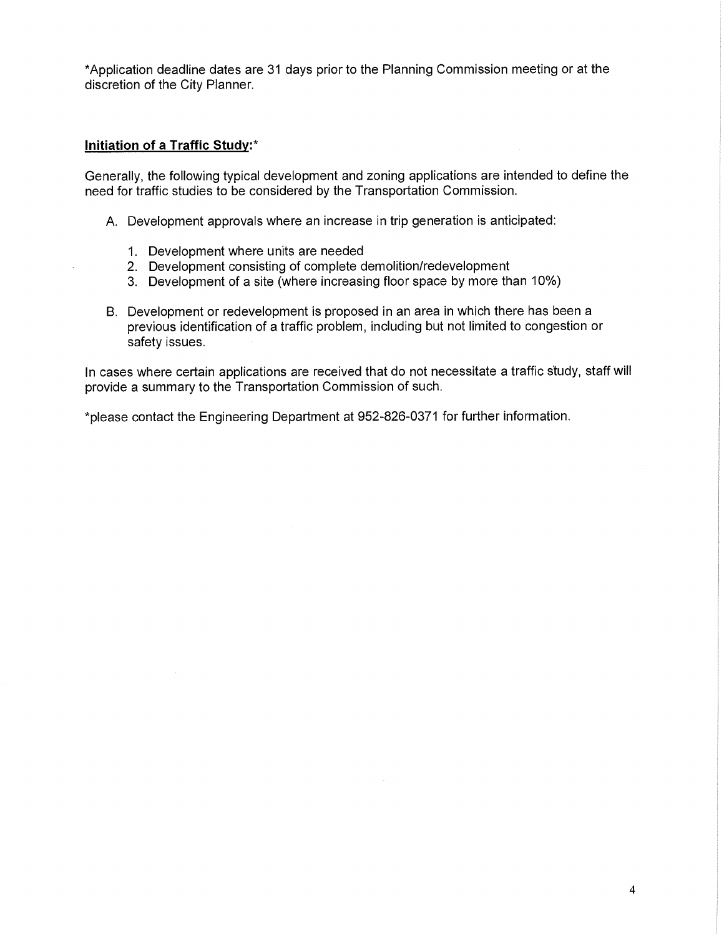\*Application deadline dates are 31 days prior to the Planning Commission meeting or at the discretion of the City Planner.

#### **Initiation of a Traffic Study:\***

Generally, the following typical development and zoning applications are intended to define the need for traffic studies to be considered by the Transportation Commission.

- A. Development approvals where an increase in trip generation is anticipated:
	- 1. Development where units are needed
	- 2. Development consisting of complete demolition/redevelopment
	- 3. Development of a site (where increasing floor space by more than 10%)
- **B.** Development or redevelopment is proposed in an area in which there has been a previous identification of a traffic problem, including but not limited to congestion or safety issues.

In cases where certain applications are received that do not necessitate a traffic study, staff will provide a summary to the Transportation Commission of such.

\*please contact the Engineering Department at 952-826-0371 for further information.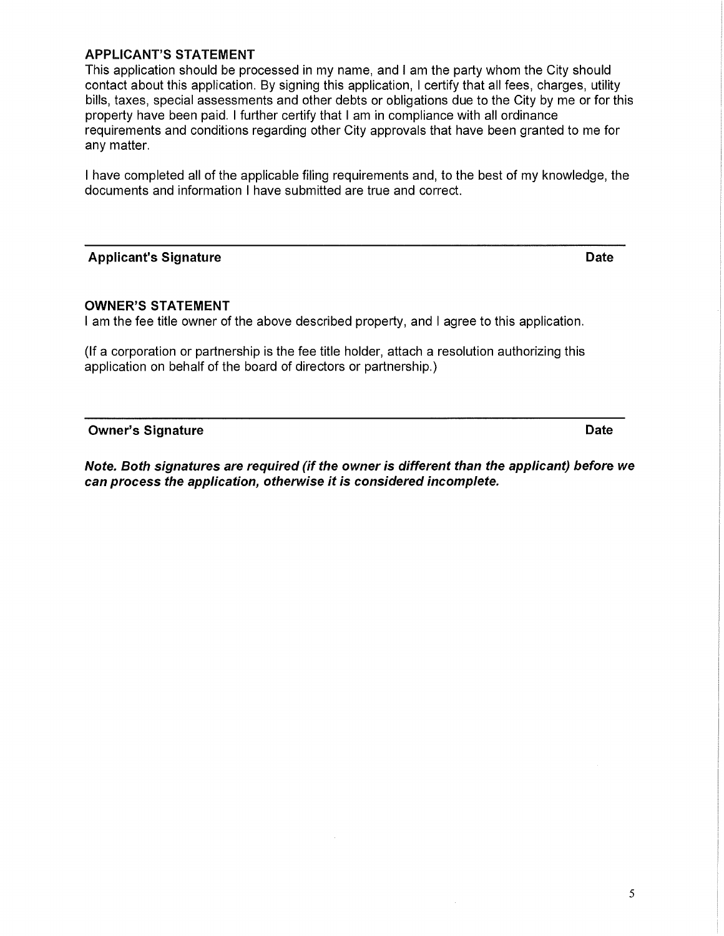#### **APPLICANT'S STATEMENT**

This application should be processed in my name, and I am the party whom the City should contact about this application. By signing this application, I certify that all fees, charges, utility bills, taxes, special assessments and other debts or obligations due to the City by me or for this property have been paid. I further certify that I am in compliance with all ordinance requirements and conditions regarding other City approvals that have been granted to me for any matter.

I have completed all of the applicable filing requirements and, to the best of my knowledge, the documents and information I have submitted are true and correct.

#### **Applicant's Signature Date Applicant's Signature Date Applicant's Signature Date Applicant**

#### **OWNER'S STATEMENT**

I am the fee title owner of the above described property, and I agree to this application.

(If a corporation or partnership is the fee title holder, attach a resolution authorizing this application on behalf of the board of directors or partnership.)

**Owner's Signature Date According to the Contract of Contract According Contract Only and Date Date** 

**Note. Both signatures are required (if the owner is different than the applicant) before we can process the application, otherwise it is considered incomplete.** 

5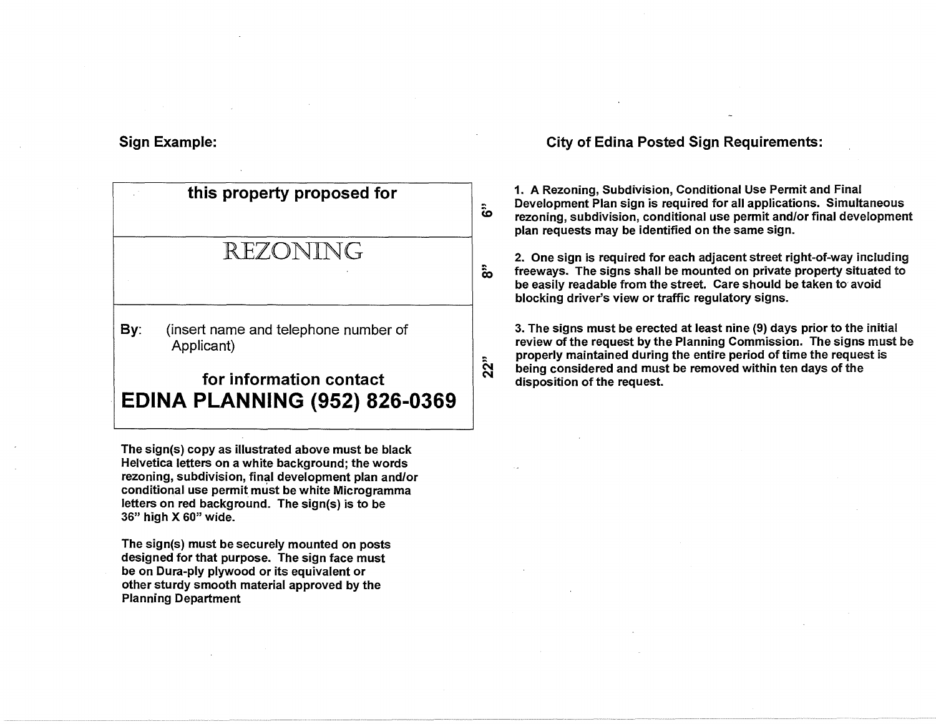#### **Sign Example:**

# **this property proposed for**  REZONING **By:** (insert name and telephone number of Applicant) **for information contact EDINA PLANNING (952) 826-0369**

**CO** 

 $\hat{a}$ 

 $22"$ 

**The sign(s) copy as illustrated above must be black Helvetica letters on a white background; the words rezoning, subdivision, final development plan and/or conditional use permit must be white Microgramma letters on red background. The sign(s) is to be 36" high X 60" wide.** 

**The sign(s) must be securely mounted on posts designed for that purpose. The sign face must be on Dura-ply plywood or its equivalent or other sturdy smooth material approved by the Planning Department** 

#### **City of Edina Posted Sign Requirements:**

**1. A Rezoning, Subdivision, Conditional Use Permit and Final Development Plan sign is required for all applications. Simultaneous rezoning, subdivision, conditional use permit and/or final development plan requests may be identified on the same sign.** 

**2. One sign is required for each adjacent street right-of-way including freeways. The signs shall be mounted on private property situated to be easily readable from the street. Care should be taken to avoid blocking driver's view or traffic regulatory signs.** 

**3. The signs must be erected at least nine (9) days prior to the initial review of the request by the Planning Commission. The signs must be properly maintained during the entire period of time the request is being considered and must be removed within ten days of the disposition of the request.**